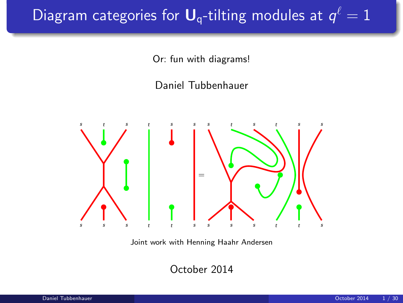# Diagram categories for  $\boldsymbol{\mathsf{U}}_\textsf{q}\text{-tilting}$  modules at  $\pmb{\mathsf{q}}^\ell=1$

Or: fun with diagrams!

Daniel Tubbenhauer



Joint work with Henning Haahr Andersen

October 2014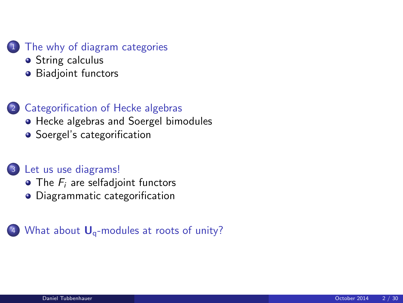#### [The why of diagram categories](#page-2-0)

- **•** [String calculus](#page-2-0)
- **•** [Biadjoint functors](#page-5-0)

#### 2 [Categorification of Hecke algebras](#page-9-0)

- [Hecke algebras and Soergel bimodules](#page-9-0)
- [Soergel's categorification](#page-13-0)

#### <sup>3</sup> [Let us use diagrams!](#page-16-0)

- $\bullet$  The  $F_i$  [are selfadjoint functors](#page-16-0)
- [Diagrammatic categorification](#page-21-0)

#### (4) What about  $U_q$ [-modules at roots of unity?](#page-23-0)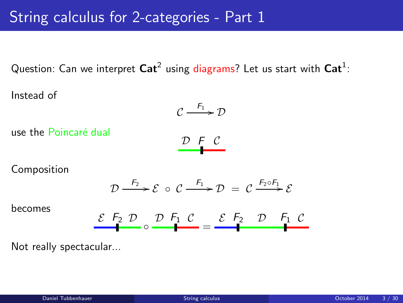# String calculus for 2-categories - Part 1

Question: Can we interpret  $\mathsf{Cat}^2$  using diagrams? Let us start with  $\mathsf{Cat}^1$ :

Instead of

$$
C \xrightarrow{F_1} D
$$

use the Poincaré dual

<span id="page-2-0"></span>
$$
\mathcal{D} \vdash \mathcal{C}
$$

Composition

$$
\mathcal{D} \xrightarrow{F_2} \mathcal{E} \circ \mathcal{C} \xrightarrow{F_1} \mathcal{D} = \mathcal{C} \xrightarrow{F_2 \circ F_1} \mathcal{E}
$$

becomes

$$
\mathcal{E} \xrightarrow{F_2} \mathcal{D} \xrightarrow{D} \mathcal{F}_1 \mathcal{C} = \mathcal{E} \xrightarrow{F_2} \mathcal{D} \xrightarrow{F_1} \mathcal{C}
$$

Not really spectacular...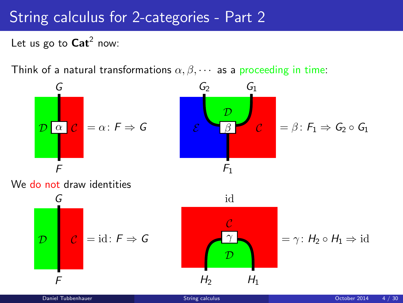# String calculus for 2-categories - Part 2

Let us go to  $\text{Cat}^2$  now:

Think of a natural transformations  $\alpha, \beta, \cdots$  as a proceeding in time:

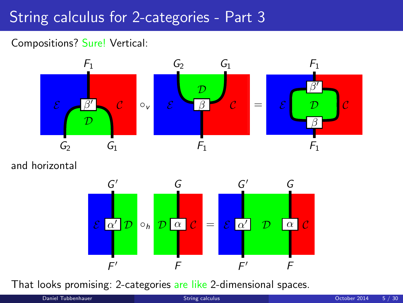# String calculus for 2-categories - Part 3

#### Compositions? Sure! Vertical:



and horizontal



That looks promising: 2-categories are like 2-dimensional spaces.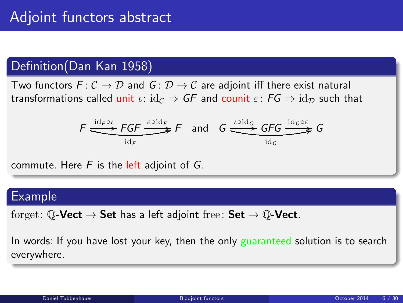### Definition(Dan Kan 1958)

Two functors  $F: \mathcal{C} \to \mathcal{D}$  and  $G: \mathcal{D} \to \mathcal{C}$  are adjoint iff there exist natural transformations called unit  $\iota: id_{\mathcal{C}} \Rightarrow GF$  and counit  $\varepsilon: FG \Rightarrow id_{\mathcal{D}}$  such that

<span id="page-5-0"></span>
$$
F \xrightarrow{\operatorname{id}_{F} \circ \iota} FGF \xrightarrow{\varepsilon \circ \operatorname{id}_{F}} F \quad \text{and} \quad G \xrightarrow{\iota \circ \operatorname{id}_{G}} GFG \xrightarrow{\operatorname{id}_{G} \circ \varepsilon} G
$$

commute. Here  $F$  is the left adjoint of  $G$ .

#### Example

forget:  $\mathbb{O}\text{-}\mathbf{Vect} \to \mathbf{Set}$  has a left adjoint free:  $\mathbf{Set} \to \mathbb{O}\text{-}\mathbf{Vect}$ .

In words: If you have lost your key, then the only guaranteed solution is to search everywhere.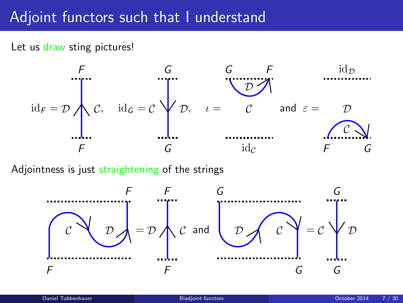# Adjoint functors such that I understand

Let us draw sting pictures!



Adjointness is just straightening of the strings

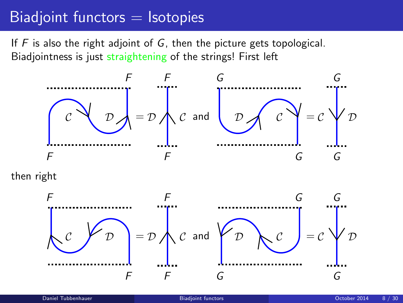# $B$ iadjoint functors  $=$  Isotopies

If  $F$  is also the right adjoint of  $G$ , then the picture gets topological. Biadjointness is just straightening of the strings! First left



then right

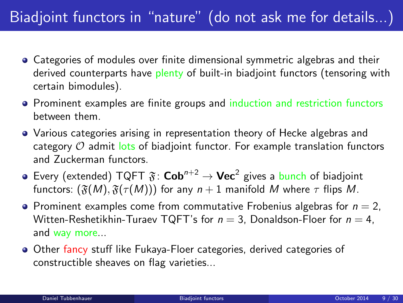# Biadjoint functors in "nature" (do not ask me for details...)

- Categories of modules over finite dimensional symmetric algebras and their derived counterparts have plenty of built-in biadjoint functors (tensoring with certain bimodules).
- Prominent examples are finite groups and induction and restriction functors between them.
- Various categories arising in representation theory of Hecke algebras and category  $O$  admit lots of biadjoint functor. For example translation functors and Zuckerman functors.
- Every (extended)  $TQFT \mathfrak{F}: \mathbf{Cob}^{n+2} \to \mathbf{Vec}^2$  gives a bunch of biadjoint functors:  $(\mathfrak{F}(M), \mathfrak{F}(\tau(M)))$  for any  $n+1$  manifold M where  $\tau$  flips M.
- Prominent examples come from commutative Frobenius algebras for  $n = 2$ , Witten-Reshetikhin-Turaev TQFT's for  $n = 3$ , Donaldson-Floer for  $n = 4$ , and way more...
- **Other fancy stuff like Fukaya-Floer categories, derived categories of** constructible sheaves on flag varieties...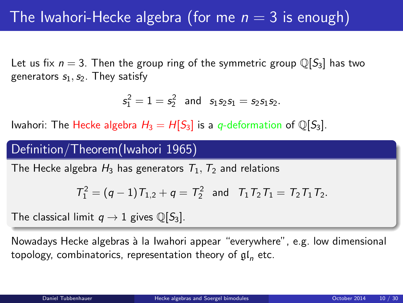Let us fix  $n = 3$ . Then the group ring of the symmetric group  $\mathbb{Q}[S_3]$  has two generators  $s_1, s_2$ . They satisfy

$$
s_1^2=1=s_2^2 \text{ and } s_1s_2s_1=s_2s_1s_2.
$$

Iwahori: The Hecke algebra  $H_3 = H[S_3]$  is a q-deformation of  $\mathbb{Q}[S_3]$ .

### Definition/Theorem(Iwahori 1965)

The Hecke algebra  $H_3$  has generators  $T_1, T_2$  and relations

<span id="page-9-0"></span>
$$
T_1^2 = (q-1)T_{1,2} + q = T_2^2
$$
 and  $T_1T_2T_1 = T_2T_1T_2$ .

The classical limit  $q \to 1$  gives  $\mathbb{O}[S_3]$ .

Nowadays Hecke algebras à la Iwahori appear "everywhere", e.g. low dimensional topology, combinatorics, representation theory of  $\mathfrak{gl}_n$  etc.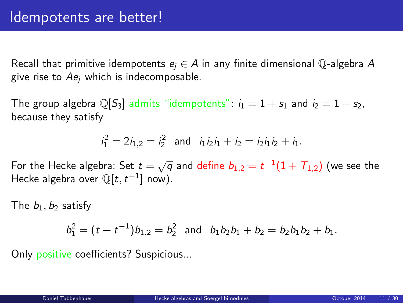Recall that primitive idempotents  $e_i \in A$  in any finite dimensional Q-algebra A give rise to  $Ae_i$  which is indecomposable.

The group algebra  $\mathbb{Q}[S_3]$  admits "idempotents":  $i_1 = 1 + s_1$  and  $i_2 = 1 + s_2$ , because they satisfy

$$
i_1^2 = 2i_{1,2} = i_2^2
$$
 and  $i_1i_2i_1 + i_2 = i_2i_1i_2 + i_1$ .

For the Hecke algebra: Set  $t=\sqrt{q}$  and define  $b_{1,2}=t^{-1}(1+T_{1,2})$  (we see the Hecke algebra over  $\mathbb{Q}[t, t^{-1}]$  now).

The  $b_1, b_2$  satisfy

$$
b_1^2 = (t + t^{-1})b_{1,2} = b_2^2
$$
 and  $b_1b_2b_1 + b_2 = b_2b_1b_2 + b_1$ .

Only positive coefficients? Suspicious...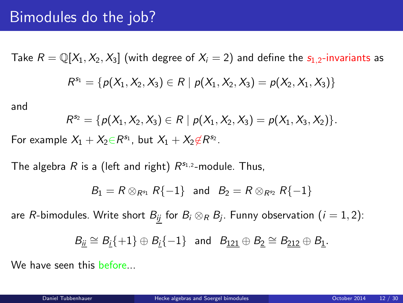## Bimodules do the job?

Take  $R = \mathbb{Q}[X_1, X_2, X_3]$  (with degree of  $X_i = 2$ ) and define the  $s_{1,2}$ -invariants as  $R^{s_1} = \{p(X_1, X_2, X_3) \in R \mid p(X_1, X_2, X_3) = p(X_2, X_1, X_3)\}\$ 

and

$$
R^{s_2} = \{p(X_1, X_2, X_3) \in R \mid p(X_1, X_2, X_3) = p(X_1, X_3, X_2)\}.
$$

For example  $X_1 + X_2 \in R^{\mathsf{s}_1}$ , but  $X_1 + X_2 \notin R^{\mathsf{s}_2}$ .

The algebra R is a (left and right)  $R^{s_{1,2}}$ -module. Thus,

$$
B_1 = R \otimes_{R^{s_1}} R\{-1\} \text{ and } B_2 = R \otimes_{R^{s_2}} R\{-1\}
$$

are  $R$ -bimodules. Write short  $B_{\underline{ij}}$  for  $B_i\otimes_R B_j.$  Funny observation  $(i=1,2)$ :

$$
\mathcal{B}_{\underline{i}\underline{i}}\cong \mathcal{B}_{\underline{i}}\{+1\}\oplus \mathcal{B}_{\underline{i}}\{-1\}\quad\text{and}\quad \mathcal{B}_{\underline{121}}\oplus \mathcal{B}_{\underline{2}}\cong \mathcal{B}_{\underline{212}}\oplus \mathcal{B}_{\underline{1}}.
$$

We have seen this before...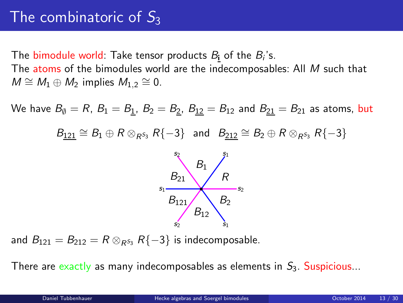# The combinatoric of  $S_3$

The bimodule world: Take tensor products  $B_{\bf i}$  of the  $B_i$ 's. The atoms of the bimodules world are the indecomposables: All M such that  $M \cong M_1 \oplus M_2$  implies  $M_{1,2} \cong 0$ .

We have  $B_0 = R$ ,  $B_1 = B_1$ ,  $B_2 = B_2$ ,  $B_{12} = B_{12}$  and  $B_{21} = B_{21}$  as atoms, but  $B_{121} \cong B_1 \oplus R \otimes_{R^{5_3}} R\{-3\}$  and  $B_{212} \cong B_2 \oplus R \otimes_{R^{5_3}} R\{-3\}$ 



and  $B_{121} = B_{212} = R \otimes_{R^{S_3}} R\{-3\}$  is indecomposable.

There are exactly as many indecomposables as elements in  $S_3$ . Suspicious...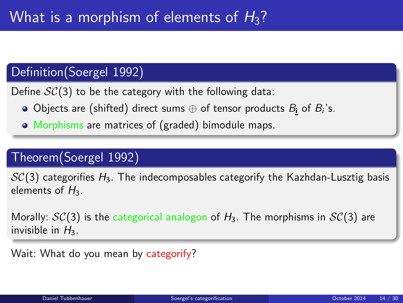### Definition(Soergel 1992)

Define  $SC(3)$  to be the category with the following data:

- Objects are (shifted) direct sums  $\oplus$  of tensor products  $\mathcal{B}_{\mathbf{i}}$  of  $\mathcal{B}_{i}$ 's.
- Morphisms are matrices of (graded) bimodule maps.

## Theorem(Soergel 1992)

 $SC(3)$  categorifies  $H_3$ . The indecomposables categorify the Kazhdan-Lusztig basis elements of  $H_3$ .

Morally:  $\mathcal{SC}(3)$  is the categorical analogon of  $H_3$ . The morphisms in  $\mathcal{SC}(3)$  are invisible in  $H_3$ .

<span id="page-13-0"></span>Wait: What do you mean by categorify?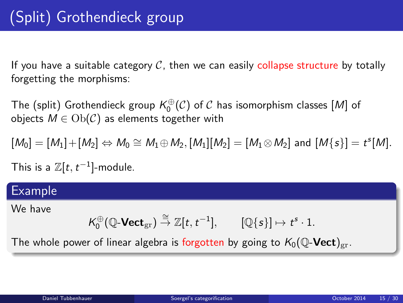If you have a suitable category  $C$ , then we can easily collapse structure by totally forgetting the morphisms:

The (split) Grothendieck group  $K_0^{\oplus}(\mathcal{C})$  of  $\mathcal C$  has isomorphism classes  $[M]$  of objects  $M \in Ob(\mathcal{C})$  as elements together with

$$
[M_0] = [M_1] + [M_2] \Leftrightarrow M_0 \cong M_1 \oplus M_2, [M_1][M_2] = [M_1 \otimes M_2] \text{ and } [M\{s\}] = t^s[M].
$$

This is a  $\mathbb{Z}[t, t^{-1}]$ -module.

#### Example

We have

$$
\mathcal{K}_0^{\oplus}(\mathbb{Q}\text{-}\mathbf{Vect}_{\mathrm{gr}})\stackrel{\cong}{\rightarrow}\mathbb{Z}[t,t^{-1}],\qquad [\mathbb{Q}\{s\}]\mapsto t^s\cdot 1.
$$

The whole power of linear algebra is forgotten by going to  $K_0(\mathbb{Q}\text{-}\mathbf{Vect})_{\mathrm{gr}}$ .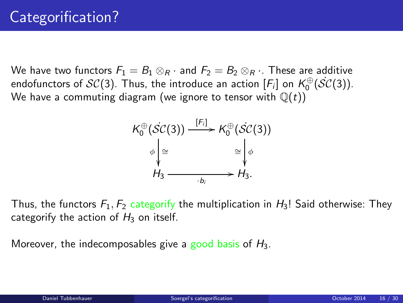We have two functors  $F_1 = B_1 \otimes_R \cdot$  and  $F_2 = B_2 \otimes_R \cdot$ . These are additive endofunctors of  $\mathcal{SC}(3)$ . Thus, the introduce an action  $[F_i]$  on  $\mathcal{K}_0^{\oplus}(\mathcal{SC}(3))$ . We have a commuting diagram (we ignore to tensor with  $\mathbb{Q}(t)$ )



Thus, the functors  $F_1, F_2$  categorify the multiplication in  $H_3$ ! Said otherwise: They categorify the action of  $H_3$  on itself.

Moreover, the indecomposables give a good basis of  $H_3$ .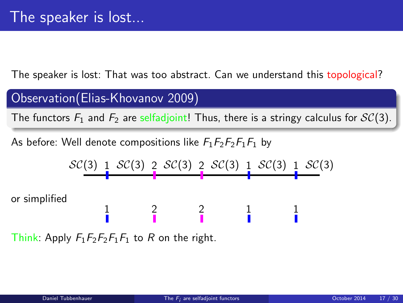The speaker is lost: That was too abstract. Can we understand this topological?

Observation(Elias-Khovanov 2009)

The functors  $F_1$  and  $F_2$  are selfadjoint! Thus, there is a stringy calculus for  $\mathcal{SC}(3)$ .

As before: Well denote compositions like  $F_1F_2F_2F_1F_1$  by



<span id="page-16-0"></span>Think: Apply  $F_1F_2F_2F_1F_1$  to R on the right.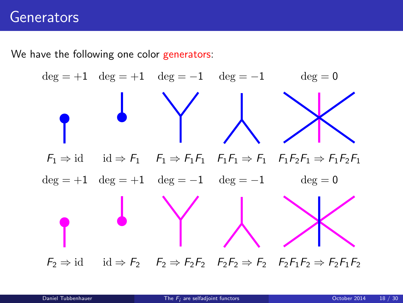# **Generators**

We have the following one color generators:

$$
\deg = +1 \quad \deg = +1 \quad \deg = -1 \quad \deg = -1
$$
\n
$$
\deg = 0
$$
\n
$$
F_1 \Rightarrow \text{id} \quad \text{id} \Rightarrow F_1 \quad F_1 \Rightarrow F_1F_1 \quad F_1F_1 \Rightarrow F_1 \quad F_1F_2F_1 \Rightarrow F_1F_2F_1
$$
\n
$$
\deg = +1 \quad \deg = +1 \quad \deg = -1 \quad \deg = -1 \quad \deg = 0
$$
\n
$$
\deg = \deg = 0
$$
\n
$$
F_2 \Rightarrow \text{id} \quad \text{id} \Rightarrow F_2 \quad F_2 \Rightarrow F_2F_2 \quad F_2F_2 \Rightarrow F_2F_1F_2 \Rightarrow F_2F_1F_2 \Rightarrow F_2F_1F_2
$$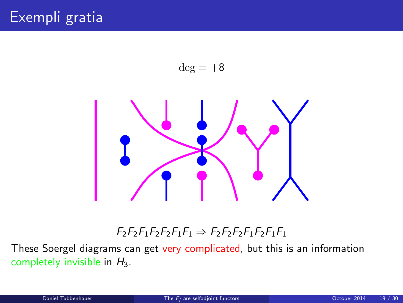



#### $F_2F_2F_1F_2F_1F_1 \Rightarrow F_2F_2F_2F_1F_2F_1F_1$

These Soergel diagrams can get very complicated, but this is an information completely invisible in  $H_3$ .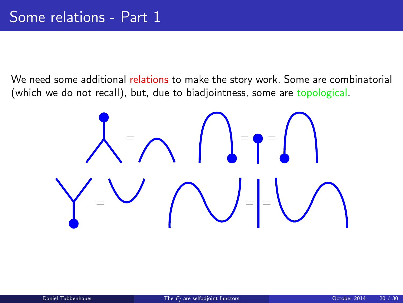We need some additional relations to make the story work. Some are combinatorial (which we do not recall), but, due to biadjointness, some are topological.

$$
\sum_{i=1}^{n} \sum_{i=1}^{n} \sum_{j=1}^{n} \left( \sum_{j=1}^{n} \left( \sum_{j=1}^{n} \right)^{j} \right)^{n} \right)
$$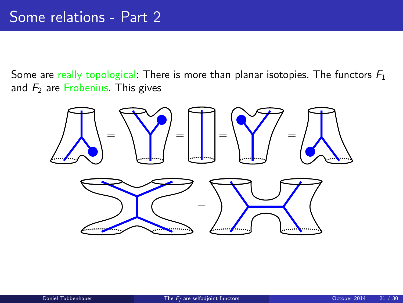Some are really topological: There is more than planar isotopies. The functors  $F_1$ and  $F_2$  are Frobenius. This gives

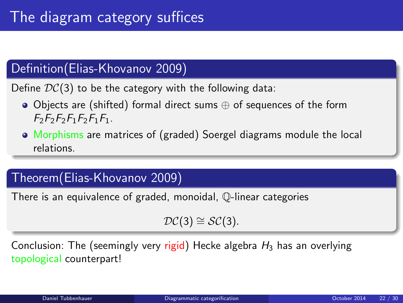## Definition(Elias-Khovanov 2009)

Define  $DC(3)$  to be the category with the following data:

- Objects are (shifted) formal direct sums ⊕ of sequences of the form  $F_2F_2F_2F_1F_2F_1F_1$ .
- Morphisms are matrices of (graded) Soergel diagrams module the local relations.

### Theorem(Elias-Khovanov 2009)

There is an equivalence of graded, monoidal, Q-linear categories

<span id="page-21-0"></span> $\mathcal{DC}(3) \cong \mathcal{SC}(3)$ .

Conclusion: The (seemingly very rigid) Hecke algebra  $H_3$  has an overlying topological counterpart!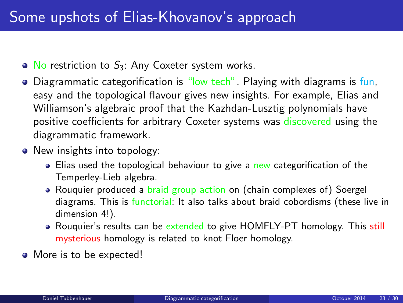- $\bullet$  No restriction to  $S_3$ : Any Coxeter system works.
- **•** Diagrammatic categorification is "low tech". Playing with diagrams is fun, easy and the topological flavour gives new insights. For example, Elias and Williamson's algebraic proof that the Kazhdan-Lusztig polynomials have positive coefficients for arbitrary Coxeter systems was discovered using the diagrammatic framework.
- New insights into topology:
	- **Elias used the topological behaviour to give a new categorification of the** Temperley-Lieb algebra.
	- Rouquier produced a braid group action on (chain complexes of) Soergel diagrams. This is functorial: It also talks about braid cobordisms (these live in dimension 4!).
	- Rouquier's results can be extended to give HOMFLY-PT homology. This still mysterious homology is related to knot Floer homology.
- More is to be expected!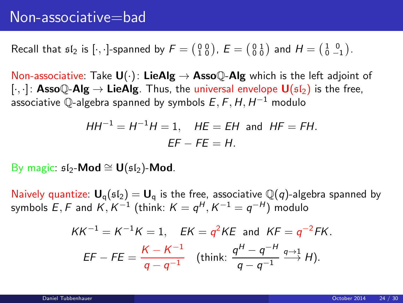Recall that  $\mathfrak{sl}_2$  is  $[\cdot, \cdot]$ -spanned by  $F = \begin{pmatrix} 0 & 0 \\ 1 & 0 \end{pmatrix}$ ,  $E = \begin{pmatrix} 0 & 1 \\ 0 & 0 \end{pmatrix}$  and  $H = \begin{pmatrix} 1 & 0 \\ 0 & -1 \end{pmatrix}$ .

Non-associative: Take  $\mathbf{U}(\cdot)$ : LieAlg  $\rightarrow$  Asso $\mathbb{Q}$ -Alg which is the left adjoint of [ $\cdot$ ,  $\cdot$ ]: **Asso** $\mathbb{Q}$ -**Alg**  $\rightarrow$  **LieAlg**. Thus, the universal envelope **U**( $\mathfrak{sl}_2$ ) is the free, associative  $\mathbb Q$ -algebra spanned by symbols  $E,$   $\digamma,$   $H,$   $H^{-1}$  modulo

$$
HH^{-1} = H^{-1}H = 1, \quad HE = EH \text{ and } HF = FH.
$$
  
EF - FE = H.

By magic:  $$I_2$ -Mod  $\cong U({}_5I_2)$ -Mod.

Naively quantize:  $U_q(sI_2) = U_q$  is the free, associative  $\mathbb{Q}(q)$ -algebra spanned by symbols  $E,F$  and  $K,K^{-1}$  (think:  $K=q^{H},K^{-1}=q^{-H})$  modulo

<span id="page-23-0"></span>
$$
KK^{-1} = K^{-1}K = 1, \quad EK = q^2KE \text{ and } KF = q^{-2}FK.
$$
  
EF - FE =  $\frac{K - K^{-1}}{q - q^{-1}}$  (think:  $\frac{q^H - q^{-H}}{q - q^{-1}} \xrightarrow{q+1} H$ ).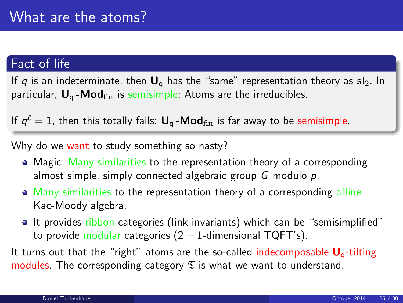### Fact of life

If q is an indeterminate, then  $U_{\alpha}$  has the "same" representation theory as  $sI_2$ . In particular,  $U_a$ -Mod $_{fin}$  is semisimple: Atoms are the irreducibles.

If  $q^\ell=1$ , then this totally fails:  $\bm{\mathsf{U}}_\textsf{q}$  -Mo $\bm{\mathsf{d}}_\text{fin}$  is far away to be semisimple.

Why do we want to study something so nasty?

- Magic: Many similarities to the representation theory of a corresponding almost simple, simply connected algebraic group  $G$  modulo  $p$ .
- Many similarities to the representation theory of a corresponding affine Kac-Moody algebra.
- **It provides ribbon categories (link invariants) which can be "semisimplified"** to provide modular categories  $(2 + 1)$ -dimensional TQFT's).

It turns out that the "right" atoms are the so-called indecomposable  $U_{q}$ -tilting modules. The corresponding category  $\mathfrak T$  is what we want to understand.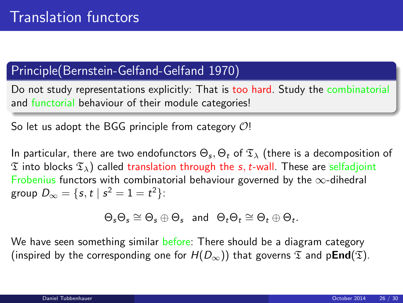### Principle(Bernstein-Gelfand-Gelfand 1970)

Do not study representations explicitly: That is too hard. Study the combinatorial and functorial behaviour of their module categories!

So let us adopt the BGG principle from category  $O!$ 

In particular, there are two endofunctors  $\Theta_s, \Theta_t$  of  $\mathfrak{T}_\lambda$  (there is a decomposition of  $\mathfrak T$  into blocks  $\mathfrak T_\lambda$ ) called translation through the s, t-wall. These are selfadjoint Frobenius functors with combinatorial behaviour governed by the  $\infty$ -dihedral group  $D_{\infty} = \{s, t \mid s^2 = 1 = t^2\}$ :

$$
\Theta_s \Theta_s \cong \Theta_s \oplus \Theta_s \text{ and } \Theta_t \Theta_t \cong \Theta_t \oplus \Theta_t.
$$

We have seen something similar before: There should be a diagram category (inspired by the corresponding one for  $H(D_{\infty})$ ) that governs  $\mathfrak T$  and p**End**( $\mathfrak T$ ).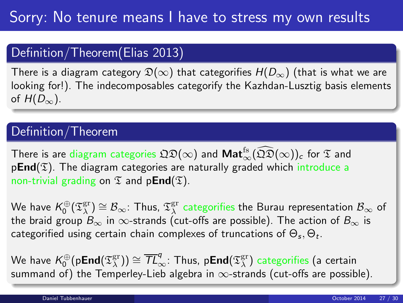### Definition/Theorem(Elias 2013)

There is a diagram category  $\mathfrak{D}(\infty)$  that categorifies  $H(D_{\infty})$  (that is what we are looking for!). The indecomposables categorify the Kazhdan-Lusztig basis elements of  $H(D_\infty)$ .

### Definition/Theorem

There is are diagram categories  $\mathfrak{QD}(\infty)$  and  $\textsf{Mat}^{\textsf{fs}}_{\infty}(\widehat{\mathfrak{QD}}(\infty))_c$  for  $\mathfrak T$  and  $pEnd(\mathfrak{T})$ . The diagram categories are naturally graded which introduce a non-trivial grading on  $\mathfrak T$  and p**End**( $\mathfrak T$ ).

We have  $\mathcal{K}^{\oplus}_0(\mathfrak{T}^{\mathrm{gr}}_{\lambda})\cong\mathcal{B}_{\infty}$ : Thus,  $\mathfrak{T}^{\mathrm{gr}}_{\lambda}$  categorifies the Burau representation  $\mathcal{B}_{\infty}$  of the braid group  $B_{\infty}$  in  $\infty$ -strands (cut-offs are possible). The action of  $B_{\infty}$  is categorified using certain chain complexes of truncations of  $\Theta_s, \Theta_t.$ 

We have  $\mathcal{K}^\oplus_0( \mathsf{pEnd}(\mathfrak{T}^{\mathrm{gr}}_\lambda) ) \cong \overline{\mathcal{TL}}_\infty^q$ : Thus,  $\mathsf{pEnd}(\mathfrak{T}^{\mathrm{gr}}_\lambda)$  categorifies (a certain summand of) the Temperley-Lieb algebra in  $\infty$ -strands (cut-offs are possible).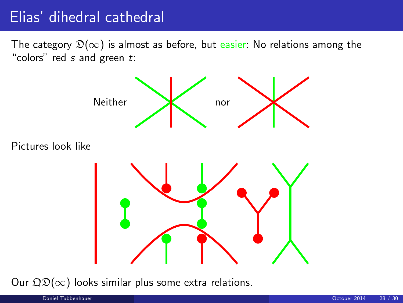# Elias' dihedral cathedral

The category  $\mathfrak{D}(\infty)$  is almost as before, but easier: No relations among the "colors" red  $s$  and green  $t$ :



Our  $\mathfrak{QD}(\infty)$  looks similar plus some extra relations.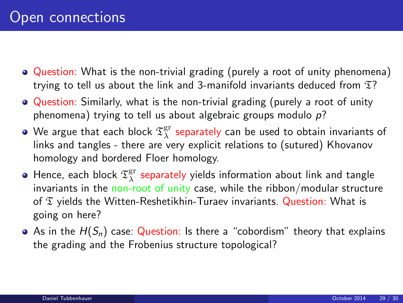- Question: What is the non-trivial grading (purely a root of unity phenomena) trying to tell us about the link and 3-manifold invariants deduced from  $\mathfrak{T}$ ?
- Question: Similarly, what is the non-trivial grading (purely a root of unity phenomena) trying to tell us about algebraic groups modulo  $p$ ?
- We argue that each block  $\mathfrak{T}^{\mathrm{gr}}_{\lambda}$  separately can be used to obtain invariants of links and tangles - there are very explicit relations to (sutured) Khovanov homology and bordered Floer homology.
- Hence, each block  $\mathfrak{T}^{\mathrm{gr}}_{\lambda}$  separately yields information about link and tangle invariants in the non-root of unity case, while the ribbon/modular structure of  $\mathfrak T$  yields the Witten-Reshetikhin-Turaev invariants. Question: What is going on here?
- As in the  $H(S_n)$  case: Question: Is there a "cobordism" theory that explains the grading and the Frobenius structure topological?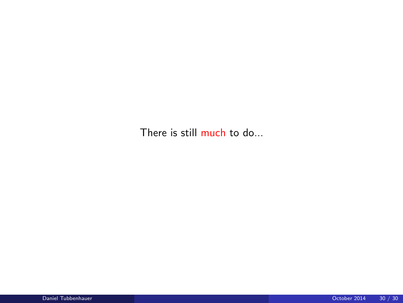There is still much to do...